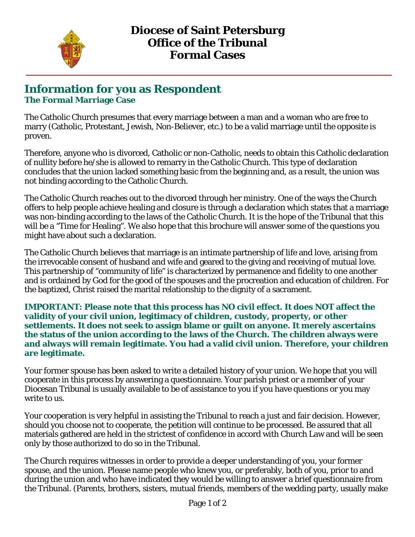

## **Information for you as Respondent The Formal Marriage Case**

The Catholic Church presumes that every marriage between a man and a woman who are free to marry (Catholic, Protestant, Jewish, Non-Believer, etc.) to be a valid marriage until the opposite is proven.

Therefore, anyone who is divorced, Catholic or non-Catholic, needs to obtain this Catholic declaration of nullity before he/she is allowed to remarry in the Catholic Church. This type of declaration concludes that the union lacked something basic from the beginning and, as a result, the union was not binding according to the Catholic Church.

The Catholic Church reaches out to the divorced through her ministry. One of the ways the Church offers to help people achieve healing and closure is through a declaration which states that a marriage was non-binding according to the laws of the Catholic Church. It is the hope of the Tribunal that this will be a "Time for Healing". We also hope that this brochure will answer some of the questions you might have about such a declaration.

The Catholic Church believes that marriage is an intimate partnership of life and love, arising from the irrevocable consent of husband and wife and geared to the giving and receiving of mutual love. This partnership of "community of life" is characterized by permanence and fidelity to one another and is ordained by God for the good of the spouses and the procreation and education of children. For the baptized, Christ raised the marital relationship to the dignity of a sacrament.

**IMPORTANT: Please note that this process has NO civil effect. It does NOT affect the validity of your civil union, legitimacy of children, custody, property, or other settlements. It does not seek to assign blame or guilt on anyone. It merely ascertains the status of the union according to the laws of the Church. The children always were and always will remain legitimate. You had a valid civil union. Therefore, your children are legitimate.**

Your former spouse has been asked to write a detailed history of your union. We hope that you will cooperate in this process by answering a questionnaire. Your parish priest or a member of your Diocesan Tribunal is usually available to be of assistance to you if you have questions or you may write to us.

Your cooperation is very helpful in assisting the Tribunal to reach a just and fair decision. However, should you choose not to cooperate, the petition will continue to be processed. Be assured that all materials gathered are held in the strictest of confidence in accord with Church Law and will be seen only by those authorized to do so in the Tribunal.

The Church requires witnesses in order to provide a deeper understanding of you, your former spouse, and the union. Please name people who knew you, or preferably, both of you, prior to and during the union and who have indicated they would be willing to answer a brief questionnaire from the Tribunal. (Parents, brothers, sisters, mutual friends, members of the wedding party, usually make